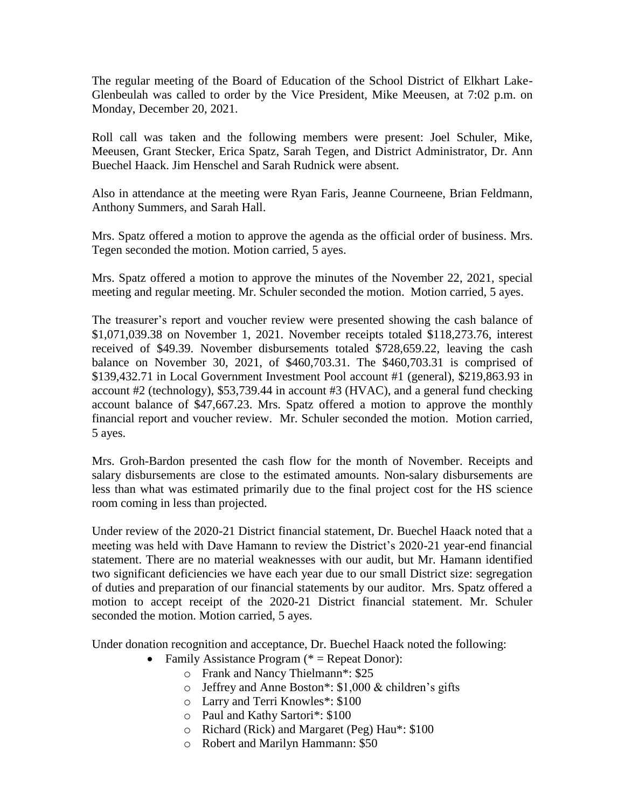The regular meeting of the Board of Education of the School District of Elkhart Lake-Glenbeulah was called to order by the Vice President, Mike Meeusen, at 7:02 p.m. on Monday, December 20, 2021.

Roll call was taken and the following members were present: Joel Schuler, Mike, Meeusen, Grant Stecker, Erica Spatz, Sarah Tegen, and District Administrator, Dr. Ann Buechel Haack. Jim Henschel and Sarah Rudnick were absent.

Also in attendance at the meeting were Ryan Faris, Jeanne Courneene, Brian Feldmann, Anthony Summers, and Sarah Hall.

Mrs. Spatz offered a motion to approve the agenda as the official order of business. Mrs. Tegen seconded the motion. Motion carried, 5 ayes.

Mrs. Spatz offered a motion to approve the minutes of the November 22, 2021, special meeting and regular meeting. Mr. Schuler seconded the motion. Motion carried, 5 ayes.

The treasurer's report and voucher review were presented showing the cash balance of \$1,071,039.38 on November 1, 2021. November receipts totaled \$118,273.76, interest received of \$49.39. November disbursements totaled \$728,659.22, leaving the cash balance on November 30, 2021, of \$460,703.31. The \$460,703.31 is comprised of \$139,432.71 in Local Government Investment Pool account #1 (general), \$219,863.93 in account #2 (technology), \$53,739.44 in account #3 (HVAC), and a general fund checking account balance of \$47,667.23. Mrs. Spatz offered a motion to approve the monthly financial report and voucher review. Mr. Schuler seconded the motion. Motion carried, 5 ayes.

Mrs. Groh-Bardon presented the cash flow for the month of November. Receipts and salary disbursements are close to the estimated amounts. Non-salary disbursements are less than what was estimated primarily due to the final project cost for the HS science room coming in less than projected.

Under review of the 2020-21 District financial statement, Dr. Buechel Haack noted that a meeting was held with Dave Hamann to review the District's 2020-21 year-end financial statement. There are no material weaknesses with our audit, but Mr. Hamann identified two significant deficiencies we have each year due to our small District size: segregation of duties and preparation of our financial statements by our auditor. Mrs. Spatz offered a motion to accept receipt of the 2020-21 District financial statement. Mr. Schuler seconded the motion. Motion carried, 5 ayes.

Under donation recognition and acceptance, Dr. Buechel Haack noted the following:

- Family Assistance Program  $(* =$  Repeat Donor):
	- o Frank and Nancy Thielmann\*: \$25
	- o Jeffrey and Anne Boston\*: \$1,000 & children's gifts
	- o Larry and Terri Knowles\*: \$100
	- o Paul and Kathy Sartori\*: \$100
	- o Richard (Rick) and Margaret (Peg) Hau\*: \$100
	- o Robert and Marilyn Hammann: \$50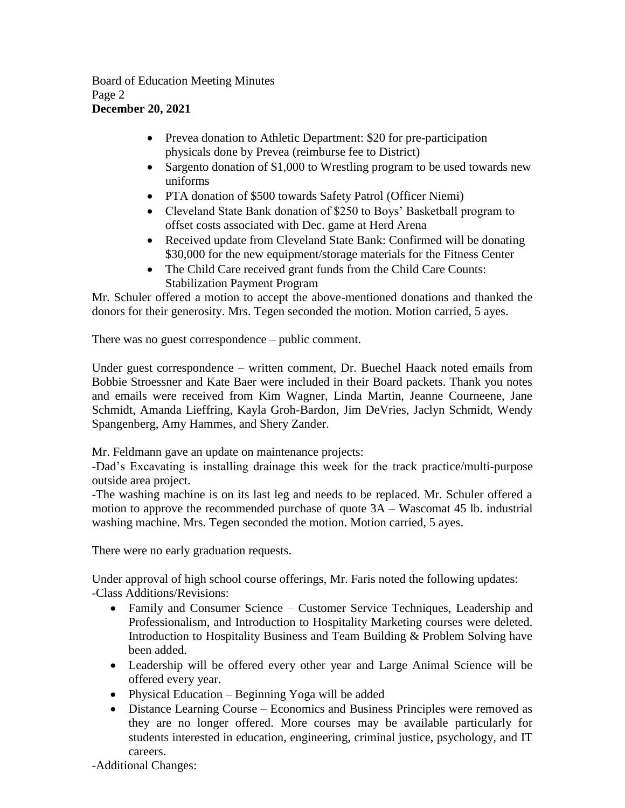## Board of Education Meeting Minutes Page 2 **December 20, 2021**

- Prevea donation to Athletic Department: \$20 for pre-participation physicals done by Prevea (reimburse fee to District)
- Sargento donation of \$1,000 to Wrestling program to be used towards new uniforms
- PTA donation of \$500 towards Safety Patrol (Officer Niemi)
- Cleveland State Bank donation of \$250 to Boys' Basketball program to offset costs associated with Dec. game at Herd Arena
- Received update from Cleveland State Bank: Confirmed will be donating \$30,000 for the new equipment/storage materials for the Fitness Center
- The Child Care received grant funds from the Child Care Counts: Stabilization Payment Program

Mr. Schuler offered a motion to accept the above-mentioned donations and thanked the donors for their generosity. Mrs. Tegen seconded the motion. Motion carried, 5 ayes.

There was no guest correspondence – public comment.

Under guest correspondence – written comment, Dr. Buechel Haack noted emails from Bobbie Stroessner and Kate Baer were included in their Board packets. Thank you notes and emails were received from Kim Wagner, Linda Martin, Jeanne Courneene, Jane Schmidt, Amanda Lieffring, Kayla Groh-Bardon, Jim DeVries, Jaclyn Schmidt, Wendy Spangenberg, Amy Hammes, and Shery Zander.

Mr. Feldmann gave an update on maintenance projects:

-Dad's Excavating is installing drainage this week for the track practice/multi-purpose outside area project.

-The washing machine is on its last leg and needs to be replaced. Mr. Schuler offered a motion to approve the recommended purchase of quote 3A – Wascomat 45 lb. industrial washing machine. Mrs. Tegen seconded the motion. Motion carried, 5 ayes.

There were no early graduation requests.

Under approval of high school course offerings, Mr. Faris noted the following updates: -Class Additions/Revisions:

- Family and Consumer Science Customer Service Techniques, Leadership and Professionalism, and Introduction to Hospitality Marketing courses were deleted. Introduction to Hospitality Business and Team Building & Problem Solving have been added.
- Leadership will be offered every other year and Large Animal Science will be offered every year.
- Physical Education Beginning Yoga will be added
- Distance Learning Course Economics and Business Principles were removed as they are no longer offered. More courses may be available particularly for students interested in education, engineering, criminal justice, psychology, and IT careers.

-Additional Changes: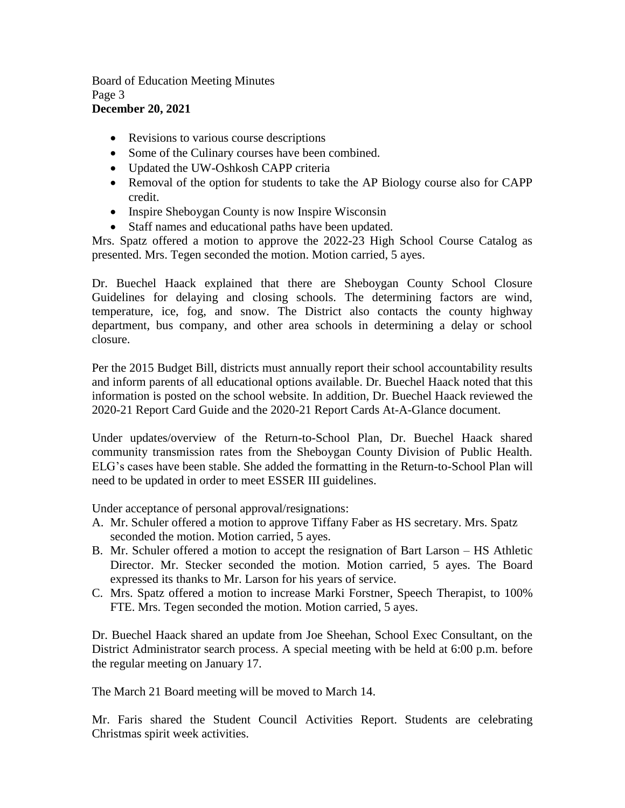## Board of Education Meeting Minutes Page 3 **December 20, 2021**

- Revisions to various course descriptions
- Some of the Culinary courses have been combined.
- Updated the UW-Oshkosh CAPP criteria
- Removal of the option for students to take the AP Biology course also for CAPP credit.
- Inspire Sheboygan County is now Inspire Wisconsin
- Staff names and educational paths have been updated.

Mrs. Spatz offered a motion to approve the 2022-23 High School Course Catalog as presented. Mrs. Tegen seconded the motion. Motion carried, 5 ayes.

Dr. Buechel Haack explained that there are Sheboygan County School Closure Guidelines for delaying and closing schools. The determining factors are wind, temperature, ice, fog, and snow. The District also contacts the county highway department, bus company, and other area schools in determining a delay or school closure.

Per the 2015 Budget Bill, districts must annually report their school accountability results and inform parents of all educational options available. Dr. Buechel Haack noted that this information is posted on the school website. In addition, Dr. Buechel Haack reviewed the 2020-21 Report Card Guide and the 2020-21 Report Cards At-A-Glance document.

Under updates/overview of the Return-to-School Plan, Dr. Buechel Haack shared community transmission rates from the Sheboygan County Division of Public Health. ELG's cases have been stable. She added the formatting in the Return-to-School Plan will need to be updated in order to meet ESSER III guidelines.

Under acceptance of personal approval/resignations:

- A. Mr. Schuler offered a motion to approve Tiffany Faber as HS secretary. Mrs. Spatz seconded the motion. Motion carried, 5 ayes.
- B. Mr. Schuler offered a motion to accept the resignation of Bart Larson HS Athletic Director. Mr. Stecker seconded the motion. Motion carried, 5 ayes. The Board expressed its thanks to Mr. Larson for his years of service.
- C. Mrs. Spatz offered a motion to increase Marki Forstner, Speech Therapist, to 100% FTE. Mrs. Tegen seconded the motion. Motion carried, 5 ayes.

Dr. Buechel Haack shared an update from Joe Sheehan, School Exec Consultant, on the District Administrator search process. A special meeting with be held at 6:00 p.m. before the regular meeting on January 17.

The March 21 Board meeting will be moved to March 14.

Mr. Faris shared the Student Council Activities Report. Students are celebrating Christmas spirit week activities.